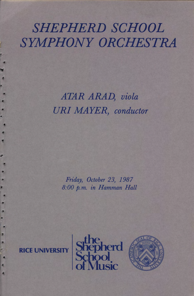## *SHEPHERD SCHOOL SYMPHONY ORCHESTRA*

*ATAR ARAD, viola URI MAYER, conductor* 

*Friday, October 23, 1987 8:00p.m. in Hamman Hall* 

,.

...



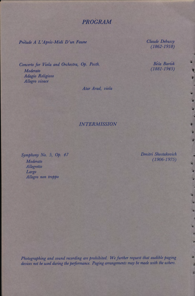*Prelude A L 'Apres-Midi D'un Faune* 

*Concerto for Viola and Orchestra, Op. Posth. Moderato Adagio Religioso Allegro vivace* 

*Atar Arad, viola* 

*PROGRAM* 

*Claude Debussy (1862-1918)* 

> *Bela Bartok (1881-1945)*

*INTERMISSION* 

*Symphony No. 5, Op. 4 7 Moderato Allegretto Largo Allegro non troppo* 

*Dmitri Shostakovich (1906-1975)* 

*Photographing and sound recording are prohibited. We further request that audible paging devices not be used during the performance. Paging arrangements may be made with the ushers.*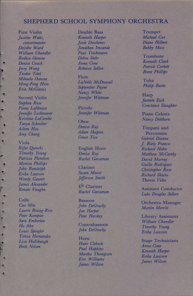## **SHEPHERD SCHOOL SYMPHONY ORCHESTRA**

First Violin **Double Bass** Trumpet *Justine Watts, Kenneth Harper Michael Cox concertmaster Josée Deschenes lJeirdre Ward ] onathan I msande Bobby Moss William Chandler Paul Teichmann Rodica Oancea Debra Stehr Trombone Kenneth Clark lJenise Couch Anna Cone Kenneth Clark Jerry Wang Rebecca Sellon Patrick Corbett Brent Phillips Teodor Tetel Brent Phillips Mihaela Oancea Ming-Feng Hsin Erin McGinnis* 

*Jennifer Leshnower jennifer Wittman* Piano Celesta *Kristina LaCombe Tanya Schreiber Aileen Hsu Denise Roy Aileen Hsu Adam Shapiro Percussion Adam Shapiro Percussion* 

*Rifat Qureshi Rifat Qureshi English Horn <i>Richard Hahn Richard Hahn Zimothy Young Denise Roy Matthew McC Monisa Phillips john Randolph Erika Lawson Susan Moore Richard Skains Richard Skains Richard Skains Richard Skains Wendy Gauntt Jefferson Smith Theresa Vidos ] ames Alexander* Eb Clarinet

Cello Bassoon **Orchestra Manager** *Gao Min John DeGruchy Dreft Cao Min Laurie Reisig-Riss <i>Jan Harper Martin Merritt Merritt* Peter *Kempter Peter Hershey Peter Hershey Library Assistants Sara Emberton William Chandler Ho Ahn* **Contrabassoon** *Louis Spiegler john lJeGruchy Erika Lawson* <sup>~</sup>*Teresa Hernandez Lisa Hollibaugh*  Fresa Hernandez<br> *Horn* **Stage Technicians**<br> *Hans Clebsch* **Stage Technicians**<br> *Brett Nelsen Anna Cone* 

~

*LaNelle MclJowall* Tuba  $$ 

*Renate Vaughn Rachel Geesaman* 

<sup>~</sup>*Timothy Young* 

*Brett Nelsen Paul Hopkins Kenneth Harper Martha Thompson Erika Lawson*   $Eric$  *Williams ] ames Wilson ] ames Wilson* 

*Nancy White* Harp Second Violin *jennifer Wittman Jasmin Eick Stephen Rose Constance Slaughter Fiona Lofthouse* Piccolo

**Oboe** *Nancy Dettbarn* 

*Amy Chang Adam Shapiro* Percussion *Crace Tice Cabriel Diamu Gabriel Dionne* Viola *]. Riely Francis Timothy Young Denise Roy <i>Matthew McCarthy* Patricia Plombon *Rachel Geesaman David Murray Patricia Plombon Rachel Geesaman lJavid Murray*  Clarinet *Guillo Rodriguez Susan Moore Christopher Rose* 

> Assistant Conductor *Luke lJouglas Sellers*

*William Chandler* 

*Anna Cone*